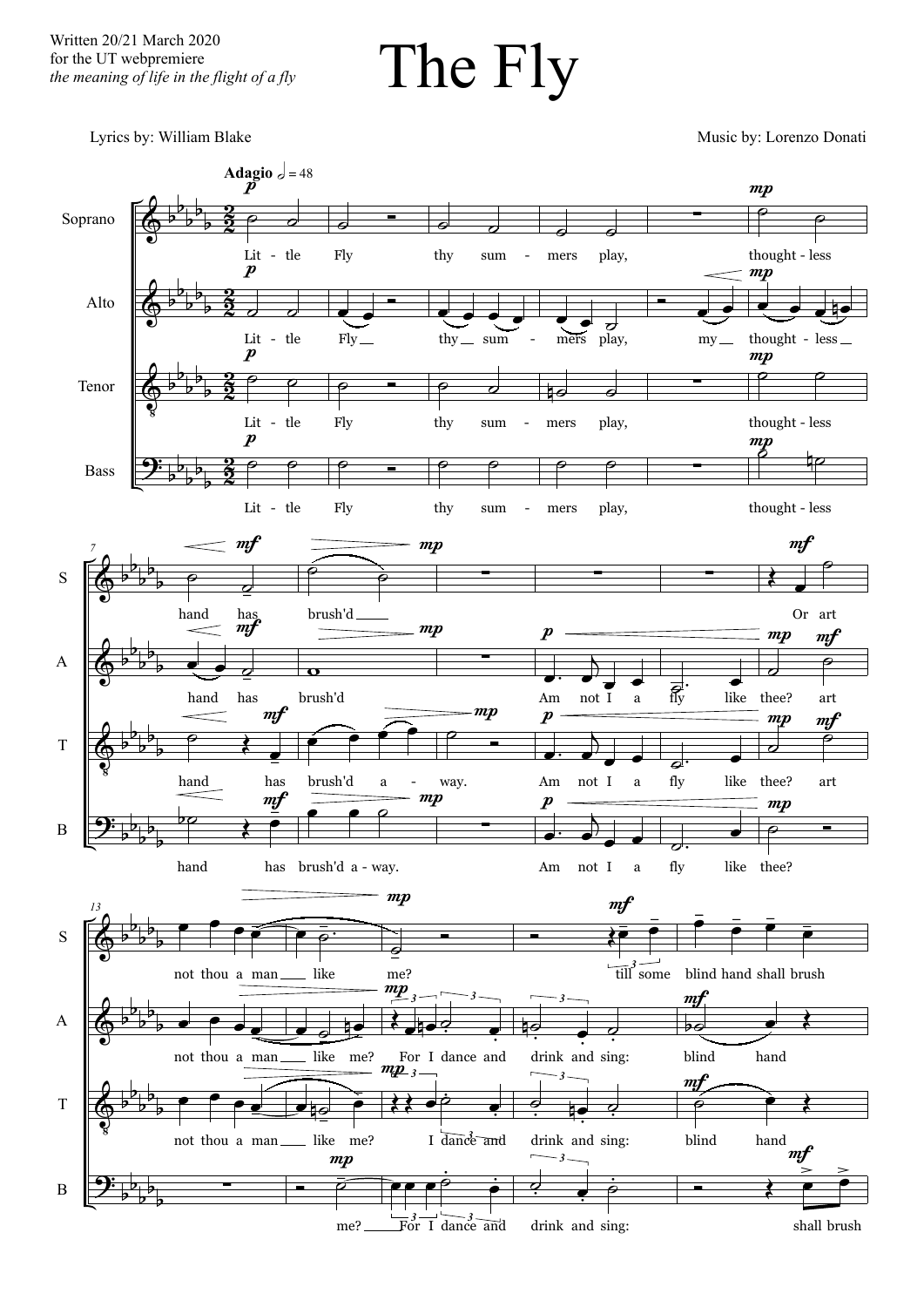Written 20/21 March 2020 for the UT webpremiere *the meaning of life in the flight of a fly*

The Fly

Lyrics by: William Blake Music by: Lorenzo Donati